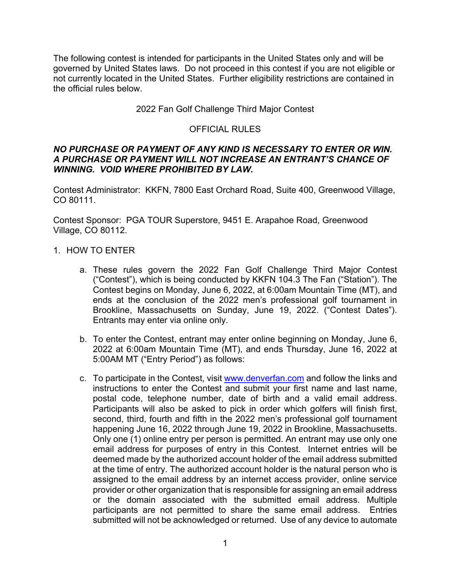The following contest is intended for participants in the United States only and will be governed by United States laws. Do not proceed in this contest if you are not eligible or not currently located in the United States. Further eligibility restrictions are contained in the official rules below.

### 2022 Fan Golf Challenge Third Major Contest

### OFFICIAL RULES

#### *NO PURCHASE OR PAYMENT OF ANY KIND IS NECESSARY TO ENTER OR WIN. A PURCHASE OR PAYMENT WILL NOT INCREASE AN ENTRANT'S CHANCE OF WINNING. VOID WHERE PROHIBITED BY LAW.*

Contest Administrator: KKFN, 7800 East Orchard Road, Suite 400, Greenwood Village, CO 80111.

Contest Sponsor: PGA TOUR Superstore, 9451 E. Arapahoe Road, Greenwood Village, CO 80112.

- 1. HOW TO ENTER
	- a. These rules govern the 2022 Fan Golf Challenge Third Major Contest ("Contest"), which is being conducted by KKFN 104.3 The Fan ("Station"). The Contest begins on Monday, June 6, 2022, at 6:00am Mountain Time (MT), and ends at the conclusion of the 2022 men's professional golf tournament in Brookline, Massachusetts on Sunday, June 19, 2022. ("Contest Dates"). Entrants may enter via online only.
	- b. To enter the Contest, entrant may enter online beginning on Monday, June 6, 2022 at 6:00am Mountain Time (MT), and ends Thursday, June 16, 2022 at 5:00AM MT ("Entry Period") as follows:
	- c. To participate in the Contest, visit www.denverfan.com and follow the links and instructions to enter the Contest and submit your first name and last name, postal code, telephone number, date of birth and a valid email address. Participants will also be asked to pick in order which golfers will finish first, second, third, fourth and fifth in the 2022 men's professional golf tournament happening June 16, 2022 through June 19, 2022 in Brookline, Massachusetts. Only one (1) online entry per person is permitted. An entrant may use only one email address for purposes of entry in this Contest. Internet entries will be deemed made by the authorized account holder of the email address submitted at the time of entry. The authorized account holder is the natural person who is assigned to the email address by an internet access provider, online service provider or other organization that is responsible for assigning an email address or the domain associated with the submitted email address. Multiple participants are not permitted to share the same email address. Entries submitted will not be acknowledged or returned. Use of any device to automate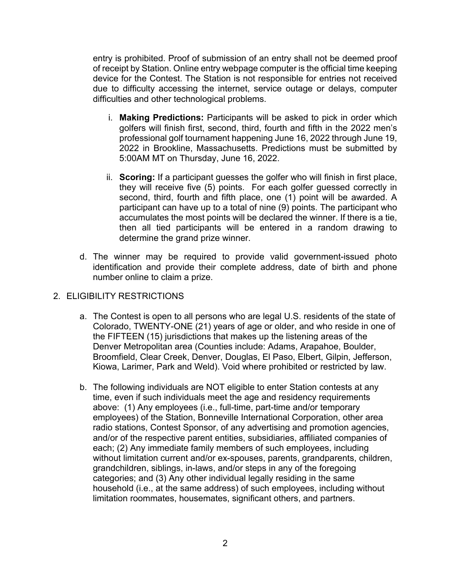entry is prohibited. Proof of submission of an entry shall not be deemed proof of receipt by Station. Online entry webpage computer is the official time keeping device for the Contest. The Station is not responsible for entries not received due to difficulty accessing the internet, service outage or delays, computer difficulties and other technological problems.

- i. **Making Predictions:** Participants will be asked to pick in order which golfers will finish first, second, third, fourth and fifth in the 2022 men's professional golf tournament happening June 16, 2022 through June 19, 2022 in Brookline, Massachusetts. Predictions must be submitted by 5:00AM MT on Thursday, June 16, 2022.
- ii. **Scoring:** If a participant guesses the golfer who will finish in first place, they will receive five (5) points. For each golfer guessed correctly in second, third, fourth and fifth place, one (1) point will be awarded. A participant can have up to a total of nine (9) points. The participant who accumulates the most points will be declared the winner. If there is a tie, then all tied participants will be entered in a random drawing to determine the grand prize winner.
- d. The winner may be required to provide valid government-issued photo identification and provide their complete address, date of birth and phone number online to claim a prize.

# 2. ELIGIBILITY RESTRICTIONS

- a. The Contest is open to all persons who are legal U.S. residents of the state of Colorado, TWENTY-ONE (21) years of age or older, and who reside in one of the FIFTEEN (15) jurisdictions that makes up the listening areas of the Denver Metropolitan area (Counties include: Adams, Arapahoe, Boulder, Broomfield, Clear Creek, Denver, Douglas, El Paso, Elbert, Gilpin, Jefferson, Kiowa, Larimer, Park and Weld). Void where prohibited or restricted by law.
- b. The following individuals are NOT eligible to enter Station contests at any time, even if such individuals meet the age and residency requirements above: (1) Any employees (i.e., full-time, part-time and/or temporary employees) of the Station, Bonneville International Corporation, other area radio stations, Contest Sponsor, of any advertising and promotion agencies, and/or of the respective parent entities, subsidiaries, affiliated companies of each; (2) Any immediate family members of such employees, including without limitation current and/or ex-spouses, parents, grandparents, children, grandchildren, siblings, in-laws, and/or steps in any of the foregoing categories; and (3) Any other individual legally residing in the same household (i.e., at the same address) of such employees, including without limitation roommates, housemates, significant others, and partners.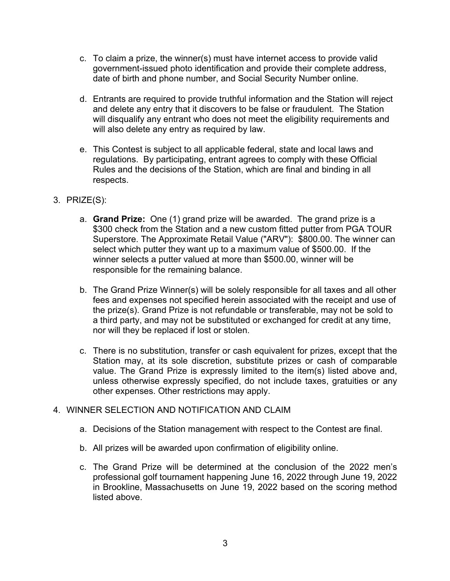- c. To claim a prize, the winner(s) must have internet access to provide valid government-issued photo identification and provide their complete address, date of birth and phone number, and Social Security Number online.
- d. Entrants are required to provide truthful information and the Station will reject and delete any entry that it discovers to be false or fraudulent. The Station will disqualify any entrant who does not meet the eligibility requirements and will also delete any entry as required by law.
- e. This Contest is subject to all applicable federal, state and local laws and regulations. By participating, entrant agrees to comply with these Official Rules and the decisions of the Station, which are final and binding in all respects.
- 3. PRIZE(S):
	- a. **Grand Prize:** One (1) grand prize will be awarded. The grand prize is a \$300 check from the Station and a new custom fitted putter from PGA TOUR Superstore. The Approximate Retail Value ("ARV"): \$800.00. The winner can select which putter they want up to a maximum value of \$500.00. If the winner selects a putter valued at more than \$500.00, winner will be responsible for the remaining balance.
	- b. The Grand Prize Winner(s) will be solely responsible for all taxes and all other fees and expenses not specified herein associated with the receipt and use of the prize(s). Grand Prize is not refundable or transferable, may not be sold to a third party, and may not be substituted or exchanged for credit at any time, nor will they be replaced if lost or stolen.
	- c. There is no substitution, transfer or cash equivalent for prizes, except that the Station may, at its sole discretion, substitute prizes or cash of comparable value. The Grand Prize is expressly limited to the item(s) listed above and, unless otherwise expressly specified, do not include taxes, gratuities or any other expenses. Other restrictions may apply.

#### 4. WINNER SELECTION AND NOTIFICATION AND CLAIM

- a. Decisions of the Station management with respect to the Contest are final.
- b. All prizes will be awarded upon confirmation of eligibility online.
- c. The Grand Prize will be determined at the conclusion of the 2022 men's professional golf tournament happening June 16, 2022 through June 19, 2022 in Brookline, Massachusetts on June 19, 2022 based on the scoring method listed above.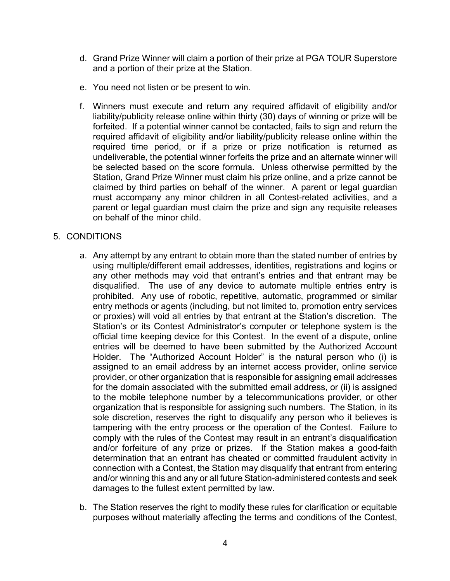- d. Grand Prize Winner will claim a portion of their prize at PGA TOUR Superstore and a portion of their prize at the Station.
- e. You need not listen or be present to win.
- f. Winners must execute and return any required affidavit of eligibility and/or liability/publicity release online within thirty (30) days of winning or prize will be forfeited. If a potential winner cannot be contacted, fails to sign and return the required affidavit of eligibility and/or liability/publicity release online within the required time period, or if a prize or prize notification is returned as undeliverable, the potential winner forfeits the prize and an alternate winner will be selected based on the score formula. Unless otherwise permitted by the Station, Grand Prize Winner must claim his prize online, and a prize cannot be claimed by third parties on behalf of the winner. A parent or legal guardian must accompany any minor children in all Contest-related activities, and a parent or legal guardian must claim the prize and sign any requisite releases on behalf of the minor child.

## 5. CONDITIONS

- a. Any attempt by any entrant to obtain more than the stated number of entries by using multiple/different email addresses, identities, registrations and logins or any other methods may void that entrant's entries and that entrant may be disqualified. The use of any device to automate multiple entries entry is prohibited. Any use of robotic, repetitive, automatic, programmed or similar entry methods or agents (including, but not limited to, promotion entry services or proxies) will void all entries by that entrant at the Station's discretion. The Station's or its Contest Administrator's computer or telephone system is the official time keeping device for this Contest. In the event of a dispute, online entries will be deemed to have been submitted by the Authorized Account Holder. The "Authorized Account Holder" is the natural person who (i) is assigned to an email address by an internet access provider, online service provider, or other organization that is responsible for assigning email addresses for the domain associated with the submitted email address, or (ii) is assigned to the mobile telephone number by a telecommunications provider, or other organization that is responsible for assigning such numbers. The Station, in its sole discretion, reserves the right to disqualify any person who it believes is tampering with the entry process or the operation of the Contest. Failure to comply with the rules of the Contest may result in an entrant's disqualification and/or forfeiture of any prize or prizes. If the Station makes a good-faith determination that an entrant has cheated or committed fraudulent activity in connection with a Contest, the Station may disqualify that entrant from entering and/or winning this and any or all future Station-administered contests and seek damages to the fullest extent permitted by law.
- b. The Station reserves the right to modify these rules for clarification or equitable purposes without materially affecting the terms and conditions of the Contest,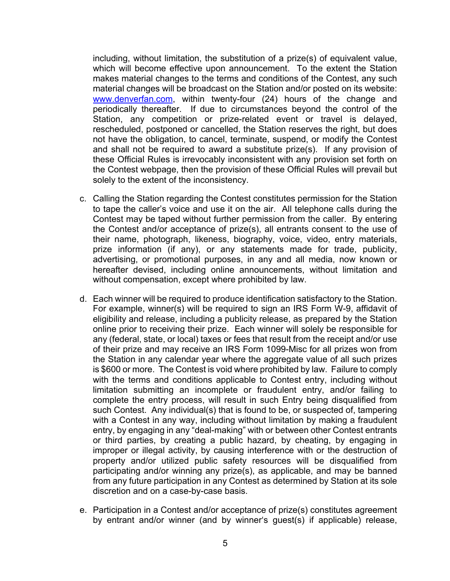including, without limitation, the substitution of a prize(s) of equivalent value, which will become effective upon announcement. To the extent the Station makes material changes to the terms and conditions of the Contest, any such material changes will be broadcast on the Station and/or posted on its website: www.denverfan.com, within twenty-four (24) hours of the change and periodically thereafter. If due to circumstances beyond the control of the Station, any competition or prize-related event or travel is delayed, rescheduled, postponed or cancelled, the Station reserves the right, but does not have the obligation, to cancel, terminate, suspend, or modify the Contest and shall not be required to award a substitute prize(s). If any provision of these Official Rules is irrevocably inconsistent with any provision set forth on the Contest webpage, then the provision of these Official Rules will prevail but solely to the extent of the inconsistency.

- c. Calling the Station regarding the Contest constitutes permission for the Station to tape the caller's voice and use it on the air. All telephone calls during the Contest may be taped without further permission from the caller. By entering the Contest and/or acceptance of prize(s), all entrants consent to the use of their name, photograph, likeness, biography, voice, video, entry materials, prize information (if any), or any statements made for trade, publicity, advertising, or promotional purposes, in any and all media, now known or hereafter devised, including online announcements, without limitation and without compensation, except where prohibited by law.
- d. Each winner will be required to produce identification satisfactory to the Station. For example, winner(s) will be required to sign an IRS Form W-9, affidavit of eligibility and release, including a publicity release, as prepared by the Station online prior to receiving their prize. Each winner will solely be responsible for any (federal, state, or local) taxes or fees that result from the receipt and/or use of their prize and may receive an IRS Form 1099-Misc for all prizes won from the Station in any calendar year where the aggregate value of all such prizes is \$600 or more. The Contest is void where prohibited by law. Failure to comply with the terms and conditions applicable to Contest entry, including without limitation submitting an incomplete or fraudulent entry, and/or failing to complete the entry process, will result in such Entry being disqualified from such Contest. Any individual(s) that is found to be, or suspected of, tampering with a Contest in any way, including without limitation by making a fraudulent entry, by engaging in any "deal-making" with or between other Contest entrants or third parties, by creating a public hazard, by cheating, by engaging in improper or illegal activity, by causing interference with or the destruction of property and/or utilized public safety resources will be disqualified from participating and/or winning any prize(s), as applicable, and may be banned from any future participation in any Contest as determined by Station at its sole discretion and on a case-by-case basis.
- e. Participation in a Contest and/or acceptance of prize(s) constitutes agreement by entrant and/or winner (and by winner's guest(s) if applicable) release,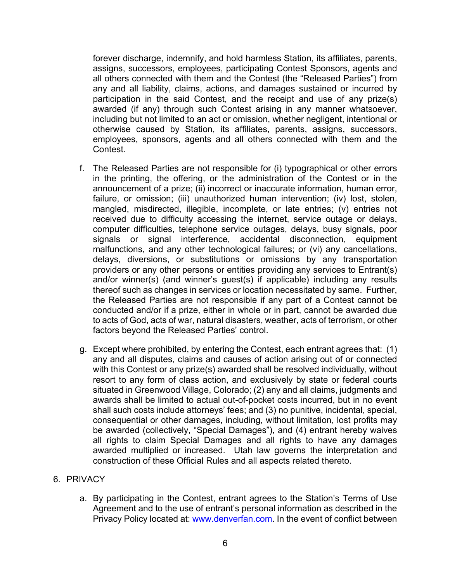forever discharge, indemnify, and hold harmless Station, its affiliates, parents, assigns, successors, employees, participating Contest Sponsors, agents and all others connected with them and the Contest (the "Released Parties") from any and all liability, claims, actions, and damages sustained or incurred by participation in the said Contest, and the receipt and use of any prize(s) awarded (if any) through such Contest arising in any manner whatsoever, including but not limited to an act or omission, whether negligent, intentional or otherwise caused by Station, its affiliates, parents, assigns, successors, employees, sponsors, agents and all others connected with them and the Contest.

- f. The Released Parties are not responsible for (i) typographical or other errors in the printing, the offering, or the administration of the Contest or in the announcement of a prize; (ii) incorrect or inaccurate information, human error, failure, or omission; (iii) unauthorized human intervention; (iv) lost, stolen, mangled, misdirected, illegible, incomplete, or late entries; (v) entries not received due to difficulty accessing the internet, service outage or delays, computer difficulties, telephone service outages, delays, busy signals, poor signals or signal interference, accidental disconnection, equipment malfunctions, and any other technological failures; or (vi) any cancellations, delays, diversions, or substitutions or omissions by any transportation providers or any other persons or entities providing any services to Entrant(s) and/or winner(s) (and winner's guest(s) if applicable) including any results thereof such as changes in services or location necessitated by same. Further, the Released Parties are not responsible if any part of a Contest cannot be conducted and/or if a prize, either in whole or in part, cannot be awarded due to acts of God, acts of war, natural disasters, weather, acts of terrorism, or other factors beyond the Released Parties' control.
- g. Except where prohibited, by entering the Contest, each entrant agrees that: (1) any and all disputes, claims and causes of action arising out of or connected with this Contest or any prize(s) awarded shall be resolved individually, without resort to any form of class action, and exclusively by state or federal courts situated in Greenwood Village, Colorado; (2) any and all claims, judgments and awards shall be limited to actual out-of-pocket costs incurred, but in no event shall such costs include attorneys' fees; and (3) no punitive, incidental, special, consequential or other damages, including, without limitation, lost profits may be awarded (collectively, "Special Damages"), and (4) entrant hereby waives all rights to claim Special Damages and all rights to have any damages awarded multiplied or increased. Utah law governs the interpretation and construction of these Official Rules and all aspects related thereto.

#### 6. PRIVACY

a. By participating in the Contest, entrant agrees to the Station's Terms of Use Agreement and to the use of entrant's personal information as described in the Privacy Policy located at: www.denverfan.com. In the event of conflict between